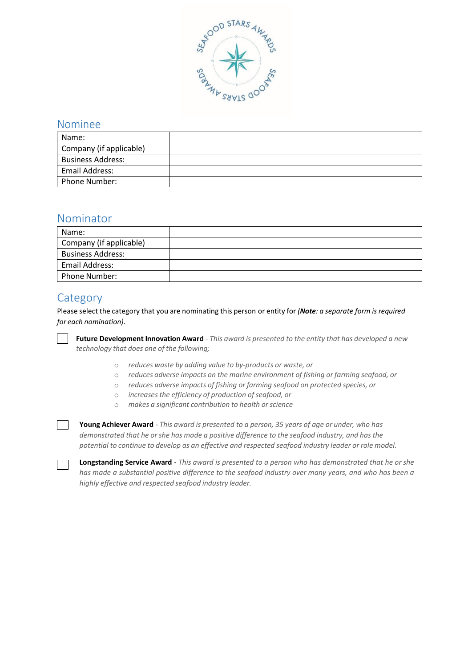

#### Nominee

| Name:                    |  |
|--------------------------|--|
| Company (if applicable)  |  |
| <b>Business Address:</b> |  |
| Email Address:           |  |
| Phone Number:            |  |

#### Nominator

| Name:                    |  |
|--------------------------|--|
| Company (if applicable)  |  |
| <b>Business Address:</b> |  |
| Email Address:           |  |
| <b>Phone Number:</b>     |  |

## **Category**

Please select the category that you are nominating this person or entity for *(Note: a separate form is required for each nomination).*

**Future Development Innovation Award** *- This award is presented to the entity that has developed a new technology that does one of the following;*

- o *reduces waste by adding value to by-products or waste, or*
- o *reduces adverse impacts on the marine environment of fishing or farming seafood, or*
- o *reduces adverse impacts of fishing or farming seafood on protected species, or*
- o *increases the efficiency of production ofseafood, or*
- o *makes a significant contribution to health orscience*

**Young Achiever Award** - *This award is presented to a person, 35 years of age or under, who has demonstrated that he orshe has made a positive difference to the seafood industry, and has the potential to continue to develop as an effective and respected seafood industry leader or role model.*

**Longstanding Service Award** - *This award is presented to a person who has demonstrated that he or she* has made a substantial positive difference to the seafood industry over many years, and who has been a *highly effective and respected seafood industry leader.*